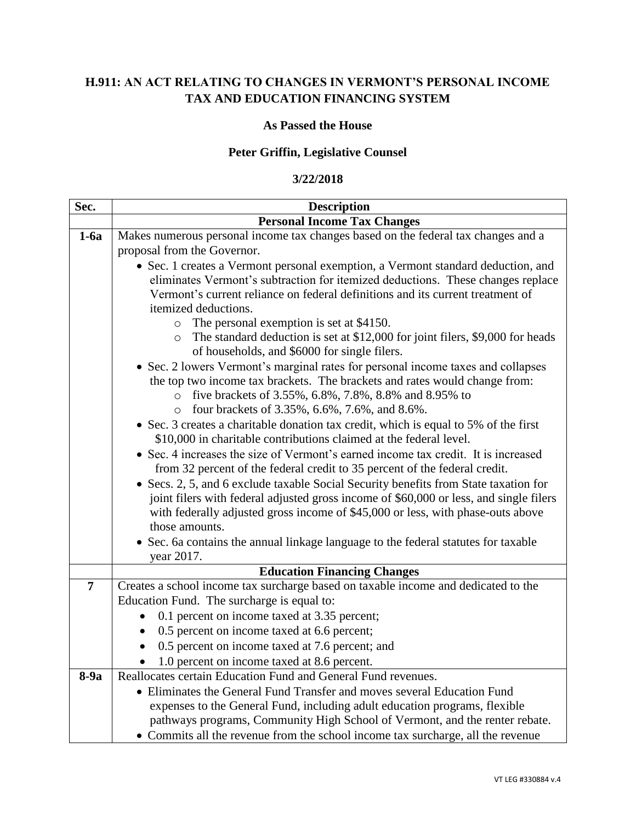# **H.911: AN ACT RELATING TO CHANGES IN VERMONT'S PERSONAL INCOME TAX AND EDUCATION FINANCING SYSTEM**

#### **As Passed the House**

## **Peter Griffin, Legislative Counsel**

#### **3/22/2018**

| Sec.            | <b>Description</b>                                                                                                                                                             |  |  |  |  |  |  |  |  |  |
|-----------------|--------------------------------------------------------------------------------------------------------------------------------------------------------------------------------|--|--|--|--|--|--|--|--|--|
|                 | <b>Personal Income Tax Changes</b>                                                                                                                                             |  |  |  |  |  |  |  |  |  |
| $1-6a$          | Makes numerous personal income tax changes based on the federal tax changes and a                                                                                              |  |  |  |  |  |  |  |  |  |
|                 | proposal from the Governor.                                                                                                                                                    |  |  |  |  |  |  |  |  |  |
|                 | • Sec. 1 creates a Vermont personal exemption, a Vermont standard deduction, and                                                                                               |  |  |  |  |  |  |  |  |  |
|                 | eliminates Vermont's subtraction for itemized deductions. These changes replace                                                                                                |  |  |  |  |  |  |  |  |  |
|                 | Vermont's current reliance on federal definitions and its current treatment of                                                                                                 |  |  |  |  |  |  |  |  |  |
|                 | itemized deductions.                                                                                                                                                           |  |  |  |  |  |  |  |  |  |
|                 | The personal exemption is set at \$4150.<br>$\circ$                                                                                                                            |  |  |  |  |  |  |  |  |  |
|                 | The standard deduction is set at \$12,000 for joint filers, \$9,000 for heads<br>$\circ$<br>of households, and \$6000 for single filers.                                       |  |  |  |  |  |  |  |  |  |
|                 | • Sec. 2 lowers Vermont's marginal rates for personal income taxes and collapses                                                                                               |  |  |  |  |  |  |  |  |  |
|                 | the top two income tax brackets. The brackets and rates would change from:                                                                                                     |  |  |  |  |  |  |  |  |  |
|                 | five brackets of 3.55%, 6.8%, 7.8%, 8.8% and 8.95% to<br>$\circ$                                                                                                               |  |  |  |  |  |  |  |  |  |
|                 | four brackets of 3.35%, 6.6%, 7.6%, and 8.6%.<br>$\circ$                                                                                                                       |  |  |  |  |  |  |  |  |  |
|                 | • Sec. 3 creates a charitable donation tax credit, which is equal to 5% of the first                                                                                           |  |  |  |  |  |  |  |  |  |
|                 | \$10,000 in charitable contributions claimed at the federal level.                                                                                                             |  |  |  |  |  |  |  |  |  |
|                 | • Sec. 4 increases the size of Vermont's earned income tax credit. It is increased                                                                                             |  |  |  |  |  |  |  |  |  |
|                 | from 32 percent of the federal credit to 35 percent of the federal credit.                                                                                                     |  |  |  |  |  |  |  |  |  |
|                 | • Secs. 2, 5, and 6 exclude taxable Social Security benefits from State taxation for<br>joint filers with federal adjusted gross income of \$60,000 or less, and single filers |  |  |  |  |  |  |  |  |  |
|                 | with federally adjusted gross income of \$45,000 or less, with phase-outs above                                                                                                |  |  |  |  |  |  |  |  |  |
|                 | those amounts.                                                                                                                                                                 |  |  |  |  |  |  |  |  |  |
|                 | • Sec. 6a contains the annual linkage language to the federal statutes for taxable                                                                                             |  |  |  |  |  |  |  |  |  |
|                 | year 2017.                                                                                                                                                                     |  |  |  |  |  |  |  |  |  |
|                 | <b>Education Financing Changes</b>                                                                                                                                             |  |  |  |  |  |  |  |  |  |
| $7\phantom{.0}$ | Creates a school income tax surcharge based on taxable income and dedicated to the                                                                                             |  |  |  |  |  |  |  |  |  |
|                 | Education Fund. The surcharge is equal to:                                                                                                                                     |  |  |  |  |  |  |  |  |  |
|                 | 0.1 percent on income taxed at 3.35 percent;                                                                                                                                   |  |  |  |  |  |  |  |  |  |
|                 | 0.5 percent on income taxed at 6.6 percent;                                                                                                                                    |  |  |  |  |  |  |  |  |  |
|                 | 0.5 percent on income taxed at 7.6 percent; and                                                                                                                                |  |  |  |  |  |  |  |  |  |
|                 | 1.0 percent on income taxed at 8.6 percent.                                                                                                                                    |  |  |  |  |  |  |  |  |  |
| $8-9a$          | Reallocates certain Education Fund and General Fund revenues.                                                                                                                  |  |  |  |  |  |  |  |  |  |
|                 | • Eliminates the General Fund Transfer and moves several Education Fund                                                                                                        |  |  |  |  |  |  |  |  |  |
|                 | expenses to the General Fund, including adult education programs, flexible                                                                                                     |  |  |  |  |  |  |  |  |  |
|                 | pathways programs, Community High School of Vermont, and the renter rebate.                                                                                                    |  |  |  |  |  |  |  |  |  |
|                 | • Commits all the revenue from the school income tax surcharge, all the revenue                                                                                                |  |  |  |  |  |  |  |  |  |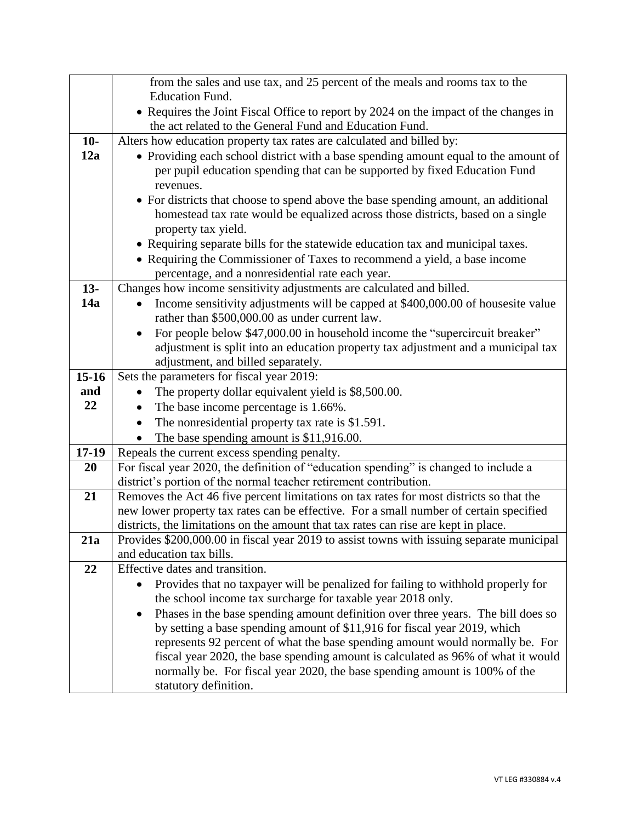|           | from the sales and use tax, and 25 percent of the meals and rooms tax to the                                                                                     |  |  |  |  |  |  |  |  |  |
|-----------|------------------------------------------------------------------------------------------------------------------------------------------------------------------|--|--|--|--|--|--|--|--|--|
|           | <b>Education Fund.</b>                                                                                                                                           |  |  |  |  |  |  |  |  |  |
|           | • Requires the Joint Fiscal Office to report by 2024 on the impact of the changes in                                                                             |  |  |  |  |  |  |  |  |  |
|           | the act related to the General Fund and Education Fund.                                                                                                          |  |  |  |  |  |  |  |  |  |
| $10-$     | Alters how education property tax rates are calculated and billed by:                                                                                            |  |  |  |  |  |  |  |  |  |
| 12a       | • Providing each school district with a base spending amount equal to the amount of                                                                              |  |  |  |  |  |  |  |  |  |
|           | per pupil education spending that can be supported by fixed Education Fund                                                                                       |  |  |  |  |  |  |  |  |  |
|           | revenues.                                                                                                                                                        |  |  |  |  |  |  |  |  |  |
|           | • For districts that choose to spend above the base spending amount, an additional                                                                               |  |  |  |  |  |  |  |  |  |
|           | homestead tax rate would be equalized across those districts, based on a single                                                                                  |  |  |  |  |  |  |  |  |  |
|           | property tax yield.                                                                                                                                              |  |  |  |  |  |  |  |  |  |
|           | • Requiring separate bills for the statewide education tax and municipal taxes.                                                                                  |  |  |  |  |  |  |  |  |  |
|           | • Requiring the Commissioner of Taxes to recommend a yield, a base income                                                                                        |  |  |  |  |  |  |  |  |  |
|           | percentage, and a nonresidential rate each year.                                                                                                                 |  |  |  |  |  |  |  |  |  |
| $13 -$    | Changes how income sensitivity adjustments are calculated and billed.                                                                                            |  |  |  |  |  |  |  |  |  |
| 14a       | Income sensitivity adjustments will be capped at \$400,000.00 of housesite value<br>rather than \$500,000.00 as under current law.                               |  |  |  |  |  |  |  |  |  |
|           |                                                                                                                                                                  |  |  |  |  |  |  |  |  |  |
|           | For people below \$47,000.00 in household income the "supercircuit breaker"<br>adjustment is split into an education property tax adjustment and a municipal tax |  |  |  |  |  |  |  |  |  |
|           | adjustment, and billed separately.                                                                                                                               |  |  |  |  |  |  |  |  |  |
| $15 - 16$ | Sets the parameters for fiscal year 2019:                                                                                                                        |  |  |  |  |  |  |  |  |  |
| and       | The property dollar equivalent yield is \$8,500.00.                                                                                                              |  |  |  |  |  |  |  |  |  |
| 22        | The base income percentage is 1.66%.                                                                                                                             |  |  |  |  |  |  |  |  |  |
|           | The nonresidential property tax rate is \$1.591.                                                                                                                 |  |  |  |  |  |  |  |  |  |
|           | The base spending amount is \$11,916.00.                                                                                                                         |  |  |  |  |  |  |  |  |  |
| $17-19$   | Repeals the current excess spending penalty.                                                                                                                     |  |  |  |  |  |  |  |  |  |
| 20        | For fiscal year 2020, the definition of "education spending" is changed to include a                                                                             |  |  |  |  |  |  |  |  |  |
|           | district's portion of the normal teacher retirement contribution.                                                                                                |  |  |  |  |  |  |  |  |  |
| 21        | Removes the Act 46 five percent limitations on tax rates for most districts so that the                                                                          |  |  |  |  |  |  |  |  |  |
|           | new lower property tax rates can be effective. For a small number of certain specified                                                                           |  |  |  |  |  |  |  |  |  |
|           | districts, the limitations on the amount that tax rates can rise are kept in place.                                                                              |  |  |  |  |  |  |  |  |  |
| 21a       | Provides \$200,000.00 in fiscal year 2019 to assist towns with issuing separate municipal                                                                        |  |  |  |  |  |  |  |  |  |
| 22        | and education tax bills.<br>Effective dates and transition.                                                                                                      |  |  |  |  |  |  |  |  |  |
|           | Provides that no taxpayer will be penalized for failing to withhold properly for                                                                                 |  |  |  |  |  |  |  |  |  |
|           | the school income tax surcharge for taxable year 2018 only.                                                                                                      |  |  |  |  |  |  |  |  |  |
|           | Phases in the base spending amount definition over three years. The bill does so<br>$\bullet$                                                                    |  |  |  |  |  |  |  |  |  |
|           | by setting a base spending amount of \$11,916 for fiscal year 2019, which                                                                                        |  |  |  |  |  |  |  |  |  |
|           | represents 92 percent of what the base spending amount would normally be. For                                                                                    |  |  |  |  |  |  |  |  |  |
|           | fiscal year 2020, the base spending amount is calculated as 96% of what it would                                                                                 |  |  |  |  |  |  |  |  |  |
|           | normally be. For fiscal year 2020, the base spending amount is 100% of the                                                                                       |  |  |  |  |  |  |  |  |  |
|           | statutory definition.                                                                                                                                            |  |  |  |  |  |  |  |  |  |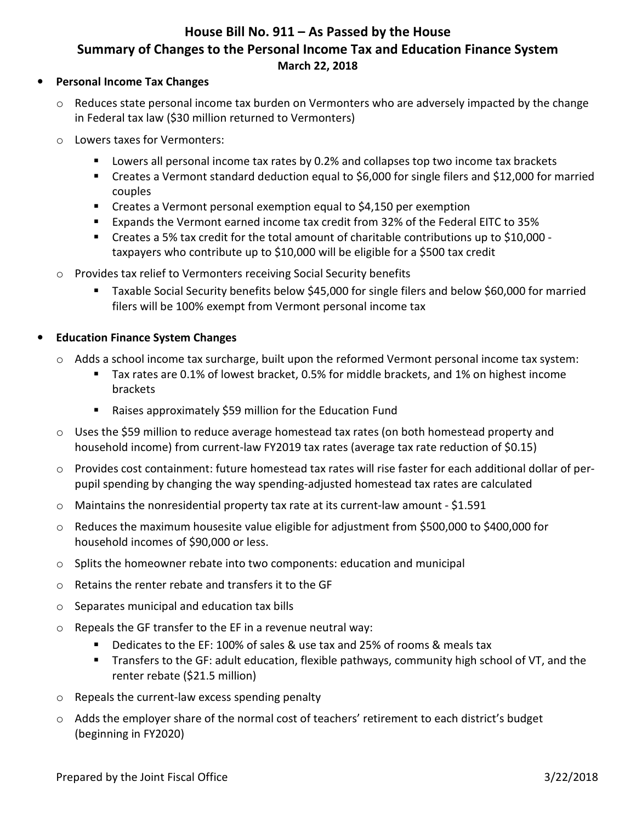# **House Bill No. 911 – As Passed by the House Summary of Changes to the Personal Income Tax and Education Finance System March 22, 2018**

#### • **Personal Income Tax Changes**

- Reduces state personal income tax burden on Vermonters who are adversely impacted by the change in Federal tax law (\$30 million returned to Vermonters)
- o Lowers taxes for Vermonters:
	- **Lowers all personal income tax rates by 0.2% and collapses top two income tax brackets**
	- Creates a Vermont standard deduction equal to \$6,000 for single filers and \$12,000 for married couples
	- Creates a Vermont personal exemption equal to \$4,150 per exemption
	- Expands the Vermont earned income tax credit from 32% of the Federal EITC to 35%
	- Creates a 5% tax credit for the total amount of charitable contributions up to \$10,000 taxpayers who contribute up to \$10,000 will be eligible for a \$500 tax credit
- o Provides tax relief to Vermonters receiving Social Security benefits
	- Taxable Social Security benefits below \$45,000 for single filers and below \$60,000 for married filers will be 100% exempt from Vermont personal income tax

#### • **Education Finance System Changes**

- o Adds a school income tax surcharge, built upon the reformed Vermont personal income tax system:
	- Tax rates are 0.1% of lowest bracket, 0.5% for middle brackets, and 1% on highest income brackets
	- Raises approximately \$59 million for the Education Fund
- o Uses the \$59 million to reduce average homestead tax rates (on both homestead property and household income) from current-law FY2019 tax rates (average tax rate reduction of \$0.15)
- $\circ$  Provides cost containment: future homestead tax rates will rise faster for each additional dollar of perpupil spending by changing the way spending-adjusted homestead tax rates are calculated
- $\circ$  Maintains the nonresidential property tax rate at its current-law amount \$1.591
- o Reduces the maximum housesite value eligible for adjustment from \$500,000 to \$400,000 for household incomes of \$90,000 or less.
- $\circ$  Splits the homeowner rebate into two components: education and municipal
- o Retains the renter rebate and transfers it to the GF
- o Separates municipal and education tax bills
- o Repeals the GF transfer to the EF in a revenue neutral way:
	- Dedicates to the EF: 100% of sales & use tax and 25% of rooms & meals tax
	- Transfers to the GF: adult education, flexible pathways, community high school of VT, and the renter rebate (\$21.5 million)
- o Repeals the current-law excess spending penalty
- o Adds the employer share of the normal cost of teachers' retirement to each district's budget (beginning in FY2020)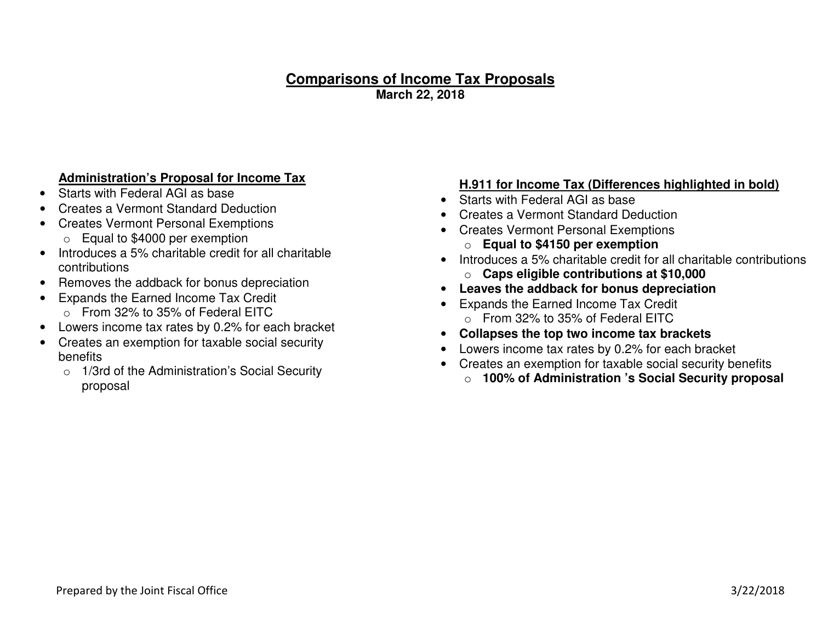#### **Comparisons of Income Tax Proposals March 22, 2018**

#### **Administration's Proposal for Income Tax**

- Starts with Federal AGI as base
- Creates a Vermont Standard Deduction
- Creates Vermont Personal Exemptions
	- o Equal to \$4000 per exemption
- Introduces a 5% charitable credit for all charitable contributions
- Removes the addback for bonus depreciation
- Expands the Earned Income Tax Credit
	- o From 32% to 35% of Federal EITC
- Lowers income tax rates by 0.2% for each bracket
- Creates an exemption for taxable social security benefits
	- $\circ$  1/3rd of the Administration's Social Security proposal

# **H.911 for Income Tax (Differences highlighted in bold)**

- Starts with Federal AGI as base
- Creates a Vermont Standard Deduction
- Creates Vermont Personal Exemptionso **Equal to \$4150 per exemption**
- Introduces a 5% charitable credit for all charitable contributionso **Caps eligible contributions at \$10,000**
- **Leaves the addback for bonus depreciation**
- Expands the Earned Income Tax Credit o From 32% to 35% of Federal EITC
- **Collapses the top two income tax brackets**
- Lowers income tax rates by 0.2% for each bracket
- Creates an exemption for taxable social security benefits
	- o **100% of Administration 's Social Security proposal**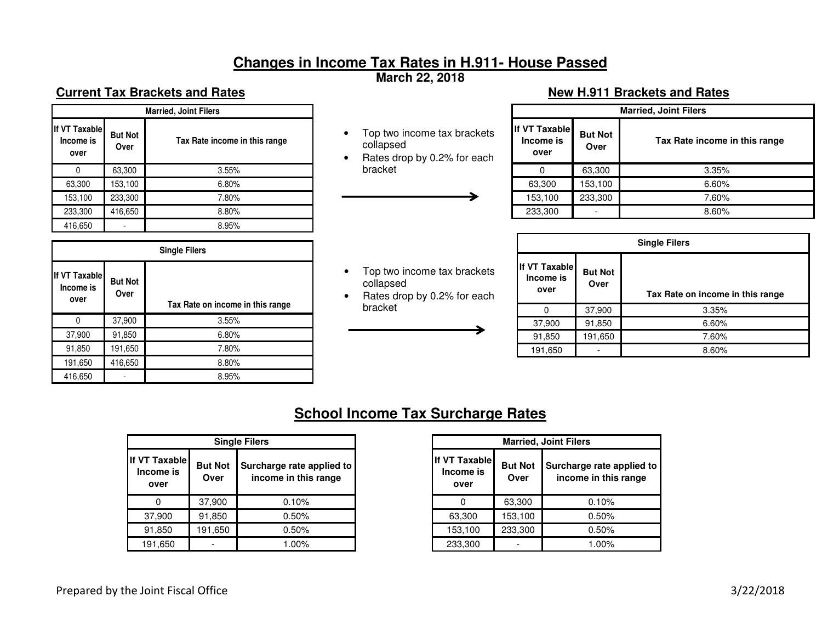# **Changes in Income Tax Rates in H.911- House Passed**

**March 22, 2018** 

# **Current Tax Brackets and Rates Access 1989 12:30 Telecommunity Current Tax Brackets and Rates 1999 12:30 Telecommunity Current Tax Brackets and Rates 1999 12:30 Telecommunity Current Tax Brackets and Rates 1999 12:30 Tele**

| <b>Married, Joint Filers</b>       |                        |                               |  |  |  |  |
|------------------------------------|------------------------|-------------------------------|--|--|--|--|
| If VT Taxable<br>Income is<br>over | <b>But Not</b><br>Over | Tax Rate income in this range |  |  |  |  |
|                                    | 63,300                 | 3.55%                         |  |  |  |  |
| 63,300                             | 153,100                | 6.80%                         |  |  |  |  |
| 153,100                            | 233,300                | 7.80%                         |  |  |  |  |
| 233,300                            | 416,650                | 8.80%                         |  |  |  |  |
| 416,650                            |                        | 8.95%                         |  |  |  |  |

| <b>Single Filers</b>               |                        |                                  |  |  |  |  |  |
|------------------------------------|------------------------|----------------------------------|--|--|--|--|--|
| If VT Taxable<br>Income is<br>over | <b>But Not</b><br>Over | Tax Rate on income in this range |  |  |  |  |  |
| 0                                  | 37,900                 | 3.55%                            |  |  |  |  |  |
| 37,900                             | 91,850                 | 6.80%                            |  |  |  |  |  |
| 91,850                             | 191,650                | 7.80%                            |  |  |  |  |  |
| 191,650                            | 416,650                | 8.80%                            |  |  |  |  |  |
| 416,650                            |                        | 8.95%                            |  |  |  |  |  |

- Top two income tax brackets collapsed
- Rates drop by 0.2% for each bracket

• Top two income tax brackets

• Rates drop by 0.2% for each

collapsed

bracket

| <b>Married, Joint Filers</b>       |                        |                               |  |  |  |  |
|------------------------------------|------------------------|-------------------------------|--|--|--|--|
| If VT Taxable<br>Income is<br>over | <b>But Not</b><br>Over | Tax Rate income in this range |  |  |  |  |
|                                    | 63,300                 | 3.35%                         |  |  |  |  |
| 63,300                             | 153,100                | 6.60%                         |  |  |  |  |
| 153,100                            | 233,300                | 7.60%                         |  |  |  |  |
| 233,300                            |                        | 8.60%                         |  |  |  |  |

| <b>Single Filers</b>               |                        |                                  |  |  |  |  |
|------------------------------------|------------------------|----------------------------------|--|--|--|--|
| If VT Taxable<br>Income is<br>over | <b>But Not</b><br>Over | Tax Rate on income in this range |  |  |  |  |
|                                    | 37,900                 | 3.35%                            |  |  |  |  |
| 37,900                             | 91,850                 | 6.60%                            |  |  |  |  |
| 91,850                             | 191,650                | 7.60%                            |  |  |  |  |
| 191,650                            |                        | 8.60%                            |  |  |  |  |

# **School Income Tax Surcharge Rates**

| <b>Single Filers</b>                      |                        |                                                   |  |  |  |  |  |
|-------------------------------------------|------------------------|---------------------------------------------------|--|--|--|--|--|
| <b>If VT Taxable</b><br>Income is<br>over | <b>But Not</b><br>Over | Surcharge rate applied to<br>income in this range |  |  |  |  |  |
|                                           | 37,900                 | 0.10%                                             |  |  |  |  |  |
| 37,900                                    | 91,850                 | 0.50%                                             |  |  |  |  |  |
| 91,850                                    | 191,650                | 0.50%                                             |  |  |  |  |  |
| 191,650                                   |                        | $1.00\%$                                          |  |  |  |  |  |

| <b>Married, Joint Filers</b>       |                        |                                                   |  |  |  |  |  |
|------------------------------------|------------------------|---------------------------------------------------|--|--|--|--|--|
| If VT Taxable<br>Income is<br>over | <b>But Not</b><br>Over | Surcharge rate applied to<br>income in this range |  |  |  |  |  |
|                                    | 63,300                 | 0.10%                                             |  |  |  |  |  |
| 63,300                             | 153,100                | 0.50%                                             |  |  |  |  |  |
| 153,100                            | 233,300                | 0.50%                                             |  |  |  |  |  |
| 233,300                            |                        | $1.00\%$                                          |  |  |  |  |  |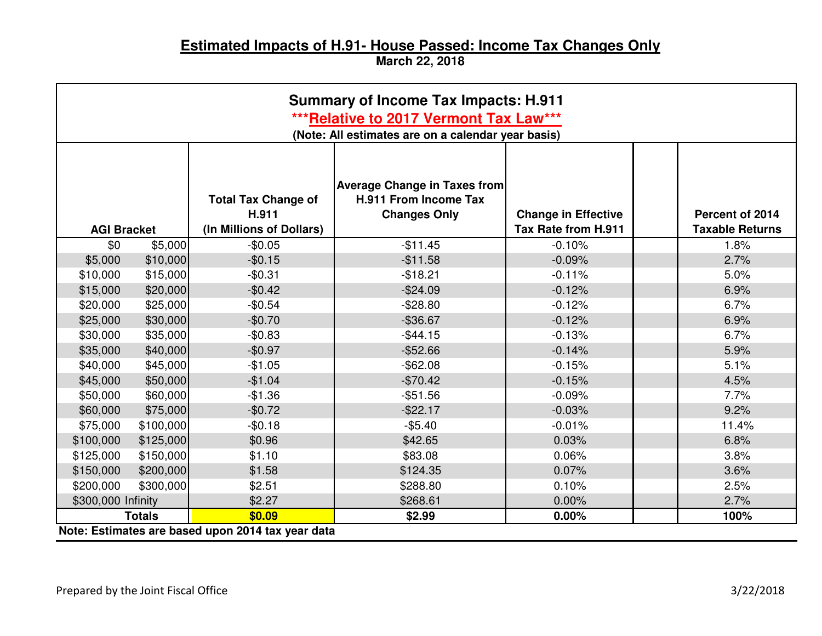# **Estimated Impacts of H.91- House Passed: Income Tax Changes Only March 22, 2018**

| <b>Summary of Income Tax Impacts: H.911</b>                                                  |               |                                                                 |                                                                                     |                                                   |                                           |  |  |  |
|----------------------------------------------------------------------------------------------|---------------|-----------------------------------------------------------------|-------------------------------------------------------------------------------------|---------------------------------------------------|-------------------------------------------|--|--|--|
| ***Relative to 2017 Vermont Tax Law***<br>(Note: All estimates are on a calendar year basis) |               |                                                                 |                                                                                     |                                                   |                                           |  |  |  |
| <b>AGI Bracket</b>                                                                           |               | <b>Total Tax Change of</b><br>H.911<br>(In Millions of Dollars) | <b>Average Change in Taxes from</b><br>H.911 From Income Tax<br><b>Changes Only</b> | <b>Change in Effective</b><br>Tax Rate from H.911 | Percent of 2014<br><b>Taxable Returns</b> |  |  |  |
| \$0                                                                                          | \$5,000       | $-$0.05$                                                        | $-$11.45$                                                                           | $-0.10%$                                          | 1.8%                                      |  |  |  |
| \$5,000                                                                                      | \$10,000      | $-$0.15$                                                        | $-$11.58$                                                                           | $-0.09%$                                          | 2.7%                                      |  |  |  |
| \$10,000                                                                                     | \$15,000      | $-$0.31$                                                        | $-$18.21$                                                                           | $-0.11%$                                          | 5.0%                                      |  |  |  |
| \$15,000                                                                                     | \$20,000      | $-$0.42$                                                        | $-$24.09$                                                                           | $-0.12%$                                          | 6.9%                                      |  |  |  |
| \$20,000                                                                                     | \$25,000      | $-$0.54$                                                        | $-$28.80$                                                                           | $-0.12%$                                          | 6.7%                                      |  |  |  |
| \$25,000                                                                                     | \$30,000      | $-$0.70$                                                        | $-$36.67$                                                                           | $-0.12%$                                          | 6.9%                                      |  |  |  |
| \$30,000                                                                                     | \$35,000      | $-$0.83$                                                        | $-$44.15$                                                                           | $-0.13%$                                          | 6.7%                                      |  |  |  |
| \$35,000                                                                                     | \$40,000      | $-$0.97$                                                        | $-$ \$52.66                                                                         | $-0.14%$                                          | 5.9%                                      |  |  |  |
| \$40,000                                                                                     | \$45,000      | $-$1.05$                                                        | $-$ \$62.08                                                                         | $-0.15%$                                          | 5.1%                                      |  |  |  |
| \$45,000                                                                                     | \$50,000      | $-$1.04$                                                        | $-$70.42$                                                                           | $-0.15%$                                          | 4.5%                                      |  |  |  |
| \$50,000                                                                                     | \$60,000      | $-$1.36$                                                        | $-$ \$51.56                                                                         | $-0.09%$                                          | 7.7%                                      |  |  |  |
| \$60,000                                                                                     | \$75,000      | $-$0.72$                                                        | $-$ \$22.17                                                                         | $-0.03%$                                          | 9.2%                                      |  |  |  |
| \$75,000                                                                                     | \$100,000     | $-$0.18$                                                        | $-$5.40$                                                                            | $-0.01%$                                          | 11.4%                                     |  |  |  |
| \$100,000                                                                                    | \$125,000     | \$0.96                                                          | \$42.65                                                                             | 0.03%                                             | 6.8%                                      |  |  |  |
| \$125,000                                                                                    | \$150,000     | \$1.10                                                          | \$83.08                                                                             | 0.06%                                             | 3.8%                                      |  |  |  |
| \$150,000                                                                                    | \$200,000     | \$1.58                                                          | \$124.35                                                                            | 0.07%                                             | 3.6%                                      |  |  |  |
| \$200,000                                                                                    | \$300,000     | \$2.51                                                          | \$288.80                                                                            | 0.10%                                             | 2.5%                                      |  |  |  |
| \$300,000 Infinity                                                                           |               | \$2.27                                                          | \$268.61                                                                            | 0.00%                                             | 2.7%                                      |  |  |  |
|                                                                                              | <b>Totals</b> | \$0.09                                                          | \$2.99                                                                              | 0.00%                                             | 100%                                      |  |  |  |
|                                                                                              |               | Note: Estimates are based upon 2014 tax year data               |                                                                                     |                                                   |                                           |  |  |  |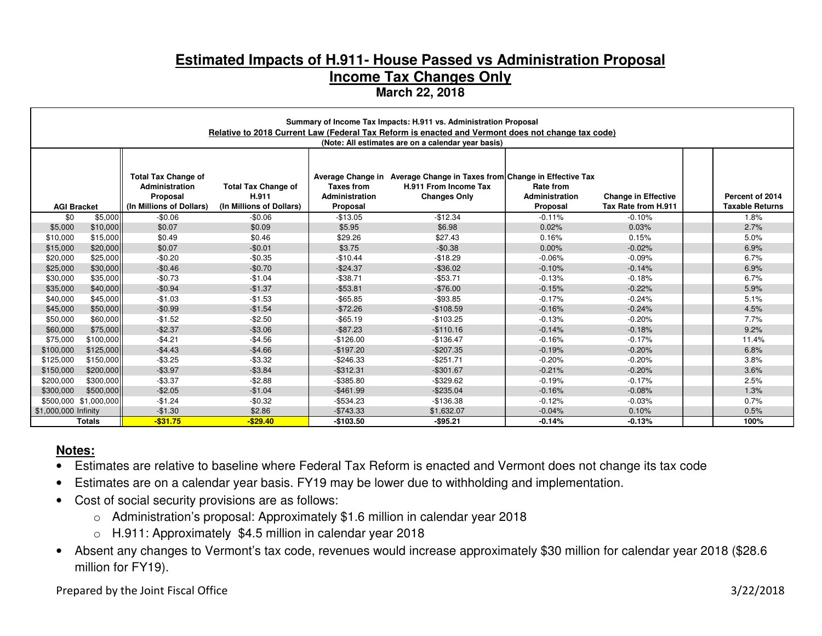# **Estimated Impacts of H.911- House Passed vs Administration Proposal Income Tax Changes Only March 22, 2018**

|                                                                                                                                                                                                                                                                                                                                                                                                                                                            | Summary of Income Tax Impacts: H.911 vs. Administration Proposal<br>Relative to 2018 Current Law (Federal Tax Reform is enacted and Vermont does not change tax code) |             |             |              |                                                    |          |          |  |                                           |
|------------------------------------------------------------------------------------------------------------------------------------------------------------------------------------------------------------------------------------------------------------------------------------------------------------------------------------------------------------------------------------------------------------------------------------------------------------|-----------------------------------------------------------------------------------------------------------------------------------------------------------------------|-------------|-------------|--------------|----------------------------------------------------|----------|----------|--|-------------------------------------------|
|                                                                                                                                                                                                                                                                                                                                                                                                                                                            |                                                                                                                                                                       |             |             |              | (Note: All estimates are on a calendar year basis) |          |          |  |                                           |
| <b>Total Tax Change of</b><br>Average Change in Average Change in Taxes from Change in Effective Tax<br><b>Total Tax Change of</b><br><b>Taxes from</b><br>H.911 From Income Tax<br>Rate from<br>Administration<br>H.911<br>Administration<br><b>Changes Only</b><br>Administration<br><b>Change in Effective</b><br>Proposal<br>(In Millions of Dollars)<br>(In Millions of Dollars)<br>Tax Rate from H.911<br>Proposal<br>Proposal<br><b>AGI Bracket</b> |                                                                                                                                                                       |             |             |              |                                                    |          |          |  | Percent of 2014<br><b>Taxable Returns</b> |
| \$0                                                                                                                                                                                                                                                                                                                                                                                                                                                        | \$5,000                                                                                                                                                               | $-$0.06$    | $-$0.06$    | $-$13.05$    | $-$12.34$                                          | $-0.11%$ | $-0.10%$ |  | 1.8%                                      |
| \$5,000                                                                                                                                                                                                                                                                                                                                                                                                                                                    | \$10,000                                                                                                                                                              | \$0.07      | \$0.09      | \$5.95       | \$6.98                                             | 0.02%    | 0.03%    |  | 2.7%                                      |
| \$10,000                                                                                                                                                                                                                                                                                                                                                                                                                                                   | \$15,000                                                                                                                                                              | \$0.49      | \$0.46      | \$29.26      | \$27.43                                            | 0.16%    | 0.15%    |  | 5.0%                                      |
| \$15,000                                                                                                                                                                                                                                                                                                                                                                                                                                                   | \$20,000                                                                                                                                                              | \$0.07      | $-$0.01$    | \$3.75       | $-$0.38$                                           | $0.00\%$ | $-0.02%$ |  | 6.9%                                      |
| \$20,000                                                                                                                                                                                                                                                                                                                                                                                                                                                   | \$25,000                                                                                                                                                              | $-$0.20$    | $-$0.35$    | $-$10.44$    | $-$18.29$                                          | $-0.06%$ | $-0.09%$ |  | 6.7%                                      |
| \$25,000                                                                                                                                                                                                                                                                                                                                                                                                                                                   | \$30,000                                                                                                                                                              | $-$0.46$    | $-$0.70$    | $-$24.37$    | $-$ \$36.02                                        | $-0.10%$ | $-0.14%$ |  | 6.9%                                      |
| \$30,000                                                                                                                                                                                                                                                                                                                                                                                                                                                   | \$35,000                                                                                                                                                              | $-$0.73$    | $-$1.04$    | $-$38.71$    | $-$ \$53.71                                        | $-0.13%$ | $-0.18%$ |  | 6.7%                                      |
| \$35,000                                                                                                                                                                                                                                                                                                                                                                                                                                                   | \$40,000                                                                                                                                                              | $-$0.94$    | $-$1.37$    | $-$53.81$    | $-$76.00$                                          | $-0.15%$ | $-0.22%$ |  | 5.9%                                      |
| \$40,000                                                                                                                                                                                                                                                                                                                                                                                                                                                   | \$45,000                                                                                                                                                              | $-$1.03$    | $-$1.53$    | $-$ \$65.85  | $-$ \$93.85                                        | $-0.17%$ | $-0.24%$ |  | 5.1%                                      |
| \$45,000                                                                                                                                                                                                                                                                                                                                                                                                                                                   | \$50,000                                                                                                                                                              | $-$0.99$    | $-$1.54$    | $-$72.26$    | $-$108.59$                                         | $-0.16%$ | $-0.24%$ |  | 4.5%                                      |
| \$50,000                                                                                                                                                                                                                                                                                                                                                                                                                                                   | \$60,000                                                                                                                                                              | $-$1.52$    | $-$2.50$    | $-$65.19$    | $-$103.25$                                         | $-0.13%$ | $-0.20%$ |  | 7.7%                                      |
| \$60,000                                                                                                                                                                                                                                                                                                                                                                                                                                                   | \$75,000                                                                                                                                                              | $-$2.37$    | $-$3.06$    | $-$ \$87.23  | $-$110.16$                                         | $-0.14%$ | $-0.18%$ |  | 9.2%                                      |
| \$75,000                                                                                                                                                                                                                                                                                                                                                                                                                                                   | \$100,000                                                                                                                                                             | $-$4.21$    | $-$4.56$    | $-$126.00$   | $-$136.47$                                         | $-0.16%$ | $-0.17%$ |  | 11.4%                                     |
| \$100,000                                                                                                                                                                                                                                                                                                                                                                                                                                                  | \$125,000                                                                                                                                                             | $-$4.43$    | $-$4.66$    | $-$197.20$   | $-$207.35$                                         | $-0.19%$ | $-0.20%$ |  | 6.8%                                      |
| \$125,000                                                                                                                                                                                                                                                                                                                                                                                                                                                  | \$150,000                                                                                                                                                             | $-$3.25$    | $-$3.32$    | $-$246.33$   | $-$ \$251.71                                       | $-0.20%$ | $-0.20%$ |  | 3.8%                                      |
| \$150,000                                                                                                                                                                                                                                                                                                                                                                                                                                                  | \$200,000                                                                                                                                                             | $-$3.97$    | $-$3.84$    | $-$ \$312.31 | $-$301.67$                                         | $-0.21%$ | $-0.20%$ |  | 3.6%                                      |
| \$200,000                                                                                                                                                                                                                                                                                                                                                                                                                                                  | \$300,000                                                                                                                                                             | $-$3.37$    | $-$2.88$    | $-$ \$385.80 | $-$ \$329.62                                       | $-0.19%$ | $-0.17%$ |  | 2.5%                                      |
| \$300,000                                                                                                                                                                                                                                                                                                                                                                                                                                                  | \$500,000                                                                                                                                                             | $-$2.05$    | $-$1.04$    | $-$461.99$   | $-$ \$235.04                                       | $-0.16%$ | $-0.08%$ |  | 1.3%                                      |
|                                                                                                                                                                                                                                                                                                                                                                                                                                                            | \$500,000 \$1,000,000                                                                                                                                                 | $-$1.24$    | $-$0.32$    | $-$534.23$   | $-$136.38$                                         | $-0.12%$ | $-0.03%$ |  | 0.7%                                      |
| \$1,000,000 Infinity                                                                                                                                                                                                                                                                                                                                                                                                                                       |                                                                                                                                                                       | $-$1.30$    | \$2.86      | $-$743.33$   | \$1,632.07                                         | $-0.04%$ | 0.10%    |  | 0.5%                                      |
|                                                                                                                                                                                                                                                                                                                                                                                                                                                            | <b>Totals</b>                                                                                                                                                         | $-$ \$31.75 | $-$ \$29.40 | $-$103.50$   | $-$ \$95.21                                        | $-0.14%$ | $-0.13%$ |  | 100%                                      |

### **Notes:**

- Estimates are relative to baseline where Federal Tax Reform is enacted and Vermont does not change its tax code
- Estimates are on a calendar year basis. FY19 may be lower due to withholding and implementation.
- Cost of social security provisions are as follows:
	- o Administration's proposal: Approximately \$1.6 million in calendar year 2018
	- o H.911: Approximately \$4.5 million in calendar year 2018
- Absent any changes to Vermont's tax code, revenues would increase approximately \$30 million for calendar year 2018 (\$28.6 million for FY19).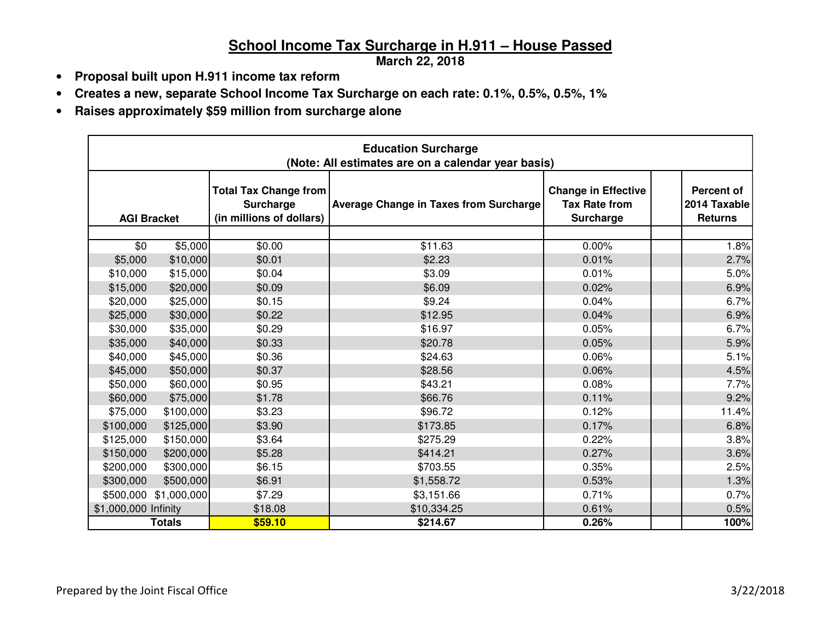# **School Income Tax Surcharge in H.911 – House Passed**

**March 22, 2018** 

- **Proposal built upon H.911 income tax reform**
- **Creates a new, separate School Income Tax Surcharge on each rate: 0.1%, 0.5%, 0.5%, 1%**
- **Raises approximately \$59 million from surcharge alone**

| <b>Education Surcharge</b><br>(Note: All estimates are on a calendar year basis) |               |                                                                       |                                               |                                                                 |  |                                                     |  |
|----------------------------------------------------------------------------------|---------------|-----------------------------------------------------------------------|-----------------------------------------------|-----------------------------------------------------------------|--|-----------------------------------------------------|--|
| <b>AGI Bracket</b>                                                               |               | <b>Total Tax Change from</b><br>Surcharge<br>(in millions of dollars) | <b>Average Change in Taxes from Surcharge</b> | <b>Change in Effective</b><br><b>Tax Rate from</b><br>Surcharge |  | <b>Percent of</b><br>2014 Taxable<br><b>Returns</b> |  |
| \$0                                                                              | \$5,000       | \$0.00                                                                | \$11.63                                       | 0.00%                                                           |  | 1.8%                                                |  |
| \$5,000                                                                          | \$10,000      | \$0.01                                                                | \$2.23                                        | 0.01%                                                           |  | 2.7%                                                |  |
| \$10,000                                                                         | \$15,000      | \$0.04                                                                | \$3.09                                        | 0.01%                                                           |  | 5.0%                                                |  |
| \$15,000                                                                         | \$20,000      | \$0.09                                                                | \$6.09                                        | 0.02%                                                           |  | 6.9%                                                |  |
| \$20,000                                                                         | \$25,000      | \$0.15                                                                | \$9.24                                        | 0.04%                                                           |  | 6.7%                                                |  |
| \$25,000                                                                         | \$30,000      | \$0.22                                                                | \$12.95                                       | 0.04%                                                           |  | 6.9%                                                |  |
| \$30,000                                                                         | \$35,000      | \$0.29                                                                | \$16.97                                       | 0.05%                                                           |  | 6.7%                                                |  |
| \$35,000                                                                         | \$40,000      | \$0.33                                                                | \$20.78                                       | 0.05%                                                           |  | 5.9%                                                |  |
| \$40,000                                                                         | \$45,000      | \$0.36                                                                | \$24.63                                       | 0.06%                                                           |  | 5.1%                                                |  |
| \$45,000                                                                         | \$50,000      | \$0.37                                                                | \$28.56                                       | 0.06%                                                           |  | 4.5%                                                |  |
| \$50,000                                                                         | \$60,000      | \$0.95                                                                | \$43.21                                       | 0.08%                                                           |  | 7.7%                                                |  |
| \$60,000                                                                         | \$75,000      | \$1.78                                                                | \$66.76                                       | 0.11%                                                           |  | 9.2%                                                |  |
| \$75,000                                                                         | \$100,000     | \$3.23                                                                | \$96.72                                       | 0.12%                                                           |  | 11.4%                                               |  |
| \$100,000                                                                        | \$125,000     | \$3.90                                                                | \$173.85                                      | 0.17%                                                           |  | 6.8%                                                |  |
| \$125,000                                                                        | \$150,000     | \$3.64                                                                | \$275.29                                      | 0.22%                                                           |  | 3.8%                                                |  |
| \$150,000                                                                        | \$200,000     | \$5.28                                                                | \$414.21                                      | 0.27%                                                           |  | 3.6%                                                |  |
| \$200,000                                                                        | \$300,000     | \$6.15                                                                | \$703.55                                      | 0.35%                                                           |  | 2.5%                                                |  |
| \$300,000                                                                        | \$500,000     | \$6.91                                                                | \$1,558.72                                    | 0.53%                                                           |  | 1.3%                                                |  |
| \$500,000                                                                        | \$1,000,000   | \$7.29                                                                | \$3,151.66                                    | 0.71%                                                           |  | 0.7%                                                |  |
| \$1,000,000 Infinity                                                             |               | \$18.08                                                               | \$10,334.25                                   | 0.61%                                                           |  | 0.5%                                                |  |
|                                                                                  | <b>Totals</b> | \$59.10                                                               | \$214.67                                      | 0.26%                                                           |  | 100%                                                |  |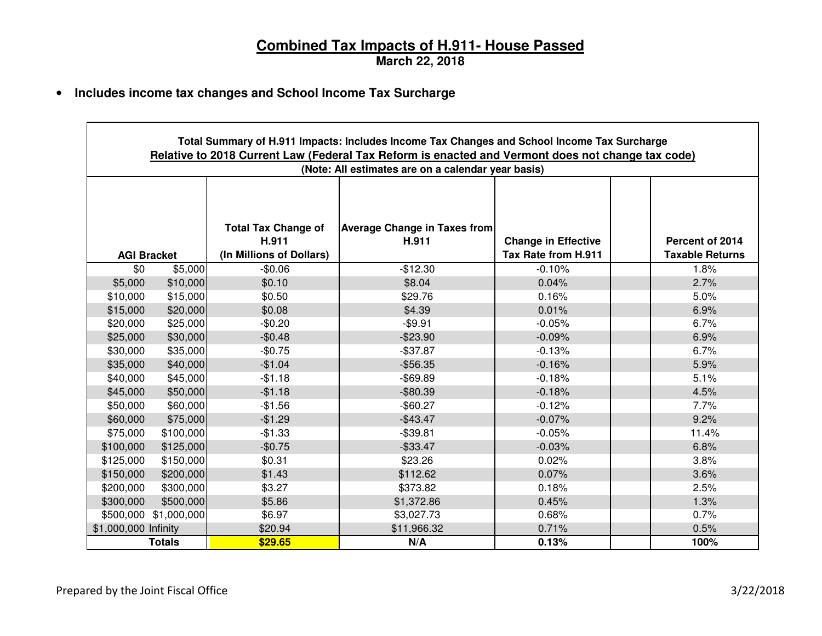# **Combined Tax Impacts of H.911- House Passed March 22, 2018**

• **Includes income tax changes and School Income Tax Surcharge** 

|                      | Total Summary of H.911 Impacts: Includes Income Tax Changes and School Income Tax Surcharge<br>Relative to 2018 Current Law (Federal Tax Reform is enacted and Vermont does not change tax code)<br>(Note: All estimates are on a calendar year basis) |          |             |          |  |       |  |  |  |  |  |
|----------------------|--------------------------------------------------------------------------------------------------------------------------------------------------------------------------------------------------------------------------------------------------------|----------|-------------|----------|--|-------|--|--|--|--|--|
|                      | <b>Total Tax Change of</b><br><b>Average Change in Taxes from</b><br>H.911<br><b>Change in Effective</b><br>H.911<br>Percent of 2014<br>(In Millions of Dollars)<br>Tax Rate from H.911<br><b>Taxable Returns</b><br><b>AGI Bracket</b>                |          |             |          |  |       |  |  |  |  |  |
| \$0                  | \$5,000                                                                                                                                                                                                                                                | $-$0.06$ | $-$12.30$   | $-0.10%$ |  | 1.8%  |  |  |  |  |  |
| \$5,000              | \$10,000                                                                                                                                                                                                                                               | \$0.10   | \$8.04      | 0.04%    |  | 2.7%  |  |  |  |  |  |
| \$10,000             | \$15,000                                                                                                                                                                                                                                               | \$0.50   | \$29.76     | 0.16%    |  | 5.0%  |  |  |  |  |  |
| \$15,000             | \$20,000                                                                                                                                                                                                                                               | \$0.08   | \$4.39      | 0.01%    |  | 6.9%  |  |  |  |  |  |
| \$20,000             | \$25,000                                                                                                                                                                                                                                               | $-$0.20$ | $-$9.91$    | $-0.05%$ |  | 6.7%  |  |  |  |  |  |
| \$25,000             | \$30,000                                                                                                                                                                                                                                               | $-$0.48$ | $-$23.90$   | $-0.09%$ |  | 6.9%  |  |  |  |  |  |
| \$30,000             | \$35,000                                                                                                                                                                                                                                               | $-$0.75$ | $-$37.87$   | $-0.13%$ |  | 6.7%  |  |  |  |  |  |
| \$35,000             | \$40,000                                                                                                                                                                                                                                               | $-$1.04$ | $-$56.35$   | $-0.16%$ |  | 5.9%  |  |  |  |  |  |
| \$40,000             | \$45,000                                                                                                                                                                                                                                               | $-$1.18$ | $-$ \$69.89 | $-0.18%$ |  | 5.1%  |  |  |  |  |  |
| \$45,000             | \$50,000                                                                                                                                                                                                                                               | $-$1.18$ | $-$ \$80.39 | $-0.18%$ |  | 4.5%  |  |  |  |  |  |
| \$50,000             | \$60,000                                                                                                                                                                                                                                               | $-$1.56$ | $-$60.27$   | $-0.12%$ |  | 7.7%  |  |  |  |  |  |
| \$60,000             | \$75,000                                                                                                                                                                                                                                               | $-$1.29$ | $-$43.47$   | $-0.07%$ |  | 9.2%  |  |  |  |  |  |
| \$75,000             | \$100,000                                                                                                                                                                                                                                              | $-$1.33$ | $-$39.81$   | $-0.05%$ |  | 11.4% |  |  |  |  |  |
| \$100,000            | \$125,000                                                                                                                                                                                                                                              | $-$0.75$ | $-$ \$33.47 | $-0.03%$ |  | 6.8%  |  |  |  |  |  |
| \$125,000            | \$150,000                                                                                                                                                                                                                                              | \$0.31   | \$23.26     | 0.02%    |  | 3.8%  |  |  |  |  |  |
| \$150,000            | \$200,000                                                                                                                                                                                                                                              | \$1.43   | \$112.62    | 0.07%    |  | 3.6%  |  |  |  |  |  |
| \$200,000            | \$300,000                                                                                                                                                                                                                                              | \$3.27   | \$373.82    | 0.18%    |  | 2.5%  |  |  |  |  |  |
| \$300,000            | \$500,000                                                                                                                                                                                                                                              | \$5.86   | \$1,372.86  | 0.45%    |  | 1.3%  |  |  |  |  |  |
| \$500,000            | \$1,000,000                                                                                                                                                                                                                                            | \$6.97   | \$3,027.73  | 0.68%    |  | 0.7%  |  |  |  |  |  |
| \$1,000,000 Infinity |                                                                                                                                                                                                                                                        | \$20.94  | \$11,966.32 | 0.71%    |  | 0.5%  |  |  |  |  |  |
|                      | Totals                                                                                                                                                                                                                                                 | \$29.65  | N/A         | 0.13%    |  | 100%  |  |  |  |  |  |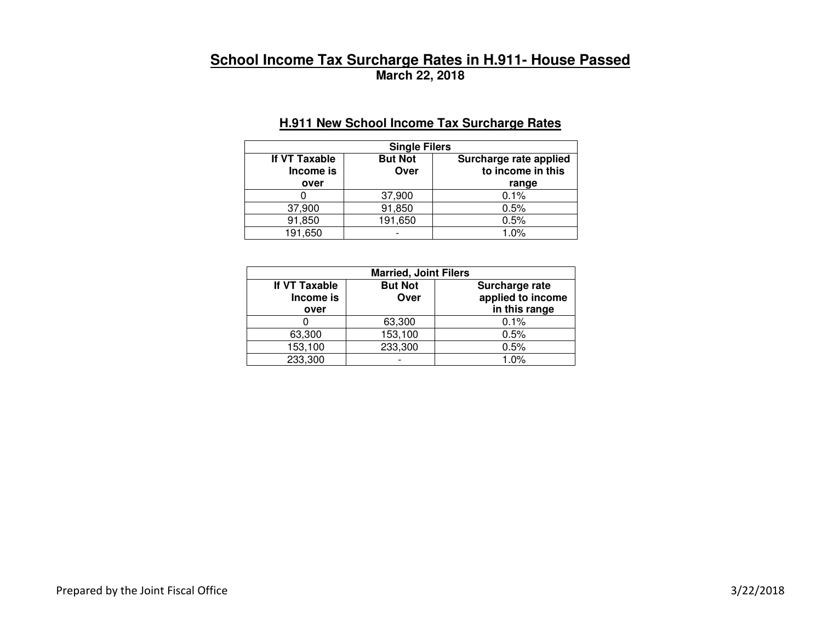# **School Income Tax Surcharge Rates in H.911- House Passed March 22, 2018**

## **H.911 New School Income Tax Surcharge Rates**

| <b>Single Filers</b>               |                        |                                                      |  |
|------------------------------------|------------------------|------------------------------------------------------|--|
| If VT Taxable<br>Income is<br>over | <b>But Not</b><br>Over | Surcharge rate applied<br>to income in this<br>range |  |
|                                    | 37,900                 | 0.1%                                                 |  |
| 37,900                             | 91,850                 | 0.5%                                                 |  |
| 91,850                             | 191,650                | 0.5%                                                 |  |
| 191,650                            |                        | 1.0%                                                 |  |

| <b>Married, Joint Filers</b>       |                        |                                                      |  |
|------------------------------------|------------------------|------------------------------------------------------|--|
| If VT Taxable<br>Income is<br>over | <b>But Not</b><br>Over | Surcharge rate<br>applied to income<br>in this range |  |
|                                    | 63,300                 | 0.1%                                                 |  |
| 63,300                             | 153,100                | 0.5%                                                 |  |
| 153,100                            | 233,300                | 0.5%                                                 |  |
| 233,300                            |                        | 1.0%                                                 |  |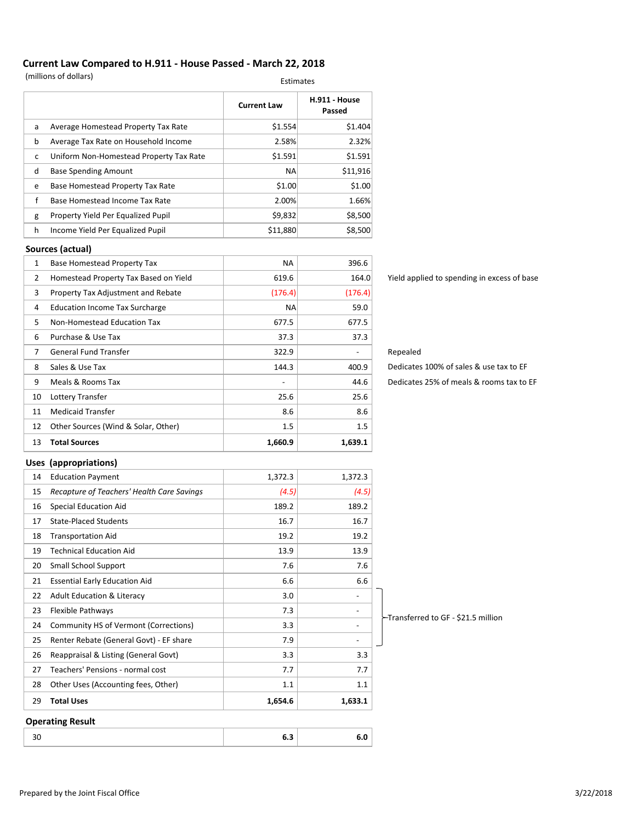#### **Current Law Compared to H.911 - House Passed - March 22, 2018**

(millions of dollars) Estimates

|   |                                         | <b>Current Law</b> | H.911 - House<br>Passed |
|---|-----------------------------------------|--------------------|-------------------------|
| a | Average Homestead Property Tax Rate     | \$1.554            | \$1.404                 |
| b | Average Tax Rate on Household Income    | 2.58%              | 2.32%                   |
| c | Uniform Non-Homestead Property Tax Rate | \$1.591            | \$1.591                 |
| d | <b>Base Spending Amount</b>             | <b>NA</b>          | \$11,916                |
| e | Base Homestead Property Tax Rate        | \$1.00             | \$1.00                  |
| f | Base Homestead Income Tax Rate          | 2.00%              | 1.66%                   |
| g | Property Yield Per Equalized Pupil      | \$9,832            | \$8,500                 |
| h | Income Yield Per Equalized Pupil        | \$11,880           | \$8,500                 |

#### **Sources (actual)**

| 13 | <b>Total Sources</b>                  | 1,660.9   | 1,639.1 |
|----|---------------------------------------|-----------|---------|
| 12 | Other Sources (Wind & Solar, Other)   | 1.5       | 1.5     |
| 11 | <b>Medicaid Transfer</b>              | 8.6       | 8.6     |
| 10 | Lottery Transfer                      | 25.6      | 25.6    |
| 9  | Meals & Rooms Tax                     |           | 44.6    |
| 8  | Sales & Use Tax                       | 144.3     | 400.9   |
| 7  | General Fund Transfer                 | 322.9     |         |
| 6  | Purchase & Use Tax                    | 37.3      | 37.3    |
| 5. | Non-Homestead Education Tax           | 677.5     | 677.5   |
| 4  | <b>Education Income Tax Surcharge</b> | <b>NA</b> | 59.0    |
| 3  | Property Tax Adjustment and Rebate    | (176.4)   | (176.4) |
| 2  | Homestead Property Tax Based on Yield | 619.6     | 164.0   |
| 1  | <b>Base Homestead Property Tax</b>    | <b>NA</b> | 396.6   |

Yield applied to spending in excess of base

#### Repealed

Dedicates 25% of meals & rooms tax to EF Dedicates 100% of sales & use tax to EF

#### **Uses (appropriations)**

|    | <b>Operating Result</b>                    |         |                          |                                      |
|----|--------------------------------------------|---------|--------------------------|--------------------------------------|
| 29 | <b>Total Uses</b>                          | 1,654.6 | 1,633.1                  |                                      |
| 28 | Other Uses (Accounting fees, Other)        | 1.1     | 1.1                      |                                      |
| 27 | Teachers' Pensions - normal cost           | 7.7     | 7.7                      |                                      |
| 26 | Reappraisal & Listing (General Govt)       | 3.3     | 3.3                      |                                      |
| 25 | Renter Rebate (General Govt) - EF share    | 7.9     | $\overline{\phantom{a}}$ |                                      |
| 24 | Community HS of Vermont (Corrections)      | 3.3     | $\overline{\phantom{a}}$ |                                      |
| 23 | Flexible Pathways                          | 7.3     | $\overline{\phantom{a}}$ | ├├Transferred to GF - \$21.5 million |
| 22 | <b>Adult Education &amp; Literacy</b>      | 3.0     | $\qquad \qquad -$        |                                      |
| 21 | <b>Essential Early Education Aid</b>       | 6.6     | 6.6                      |                                      |
| 20 | <b>Small School Support</b>                | 7.6     | 7.6                      |                                      |
| 19 | <b>Technical Education Aid</b>             | 13.9    | 13.9                     |                                      |
| 18 | <b>Transportation Aid</b>                  | 19.2    | 19.2                     |                                      |
| 17 | <b>State-Placed Students</b>               | 16.7    | 16.7                     |                                      |
| 16 | <b>Special Education Aid</b>               | 189.2   | 189.2                    |                                      |
| 15 | Recapture of Teachers' Health Care Savings | (4.5)   | (4.5)                    |                                      |
| 14 | <b>Education Payment</b>                   | 1,372.3 | 1,372.3                  |                                      |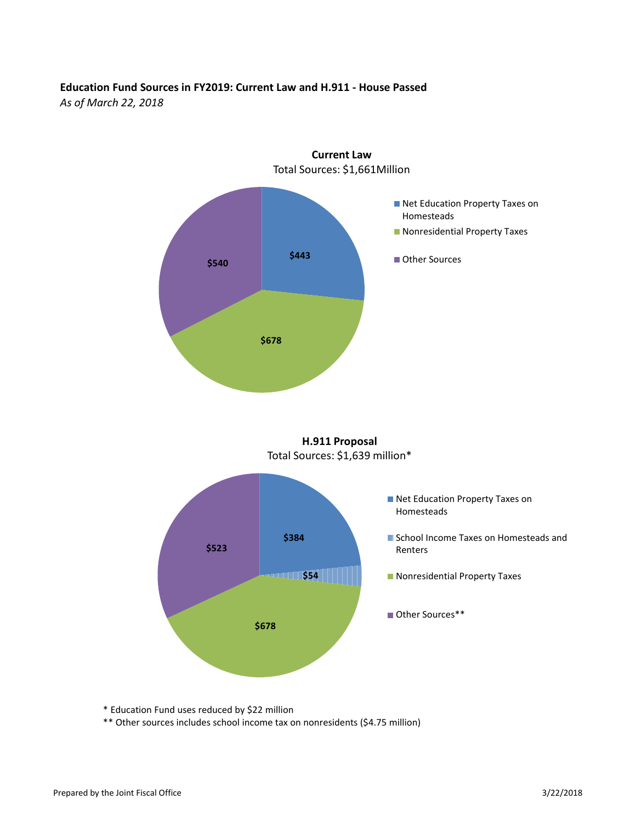#### **Education Fund Sources in FY2019: Current Law and H.911 - House Passed**

*As of March 22, 2018*



\* Education Fund uses reduced by \$22 million

\*\* Other sources includes school income tax on nonresidents (\$4.75 million)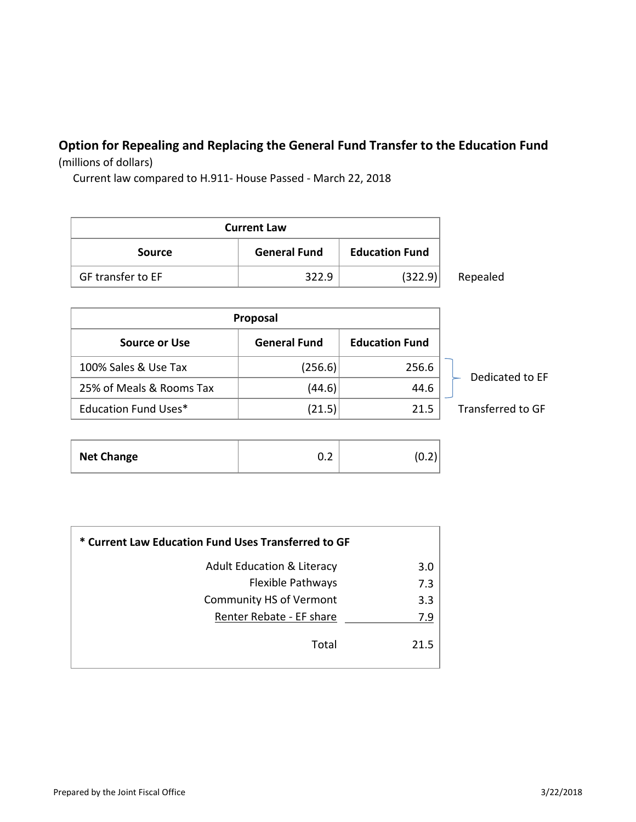# **Option for Repealing and Replacing the General Fund Transfer to the Education Fund**

(millions of dollars)

Current law compared to H.911- House Passed - March 22, 2018

| <b>Current Law</b> |                     |                       |          |  |
|--------------------|---------------------|-----------------------|----------|--|
| <b>Source</b>      | <b>General Fund</b> | <b>Education Fund</b> |          |  |
| GF transfer to EF  | 322.9               | (322.9)               | Repealed |  |

| Proposal                    |                     |                       |                   |
|-----------------------------|---------------------|-----------------------|-------------------|
| <b>Source or Use</b>        | <b>General Fund</b> | <b>Education Fund</b> |                   |
| 100% Sales & Use Tax        | (256.6)             | 256.6                 | Dedicated to FF   |
| 25% of Meals & Rooms Tax    | (44.6)              | 44.6                  |                   |
| <b>Education Fund Uses*</b> | (21.5)              | 21.5                  | Transferred to GF |

| <b>Net Change</b><br>-<br>∪.∠<br>v.z |
|--------------------------------------|
|--------------------------------------|

| * Current Law Education Fund Uses Transferred to GF |      |  |  |
|-----------------------------------------------------|------|--|--|
| <b>Adult Education &amp; Literacy</b>               | 3.0  |  |  |
| <b>Flexible Pathways</b>                            | 7.3  |  |  |
| <b>Community HS of Vermont</b>                      | 3.3  |  |  |
| Renter Rebate - EF share                            | 7.9  |  |  |
| Total                                               | 21.5 |  |  |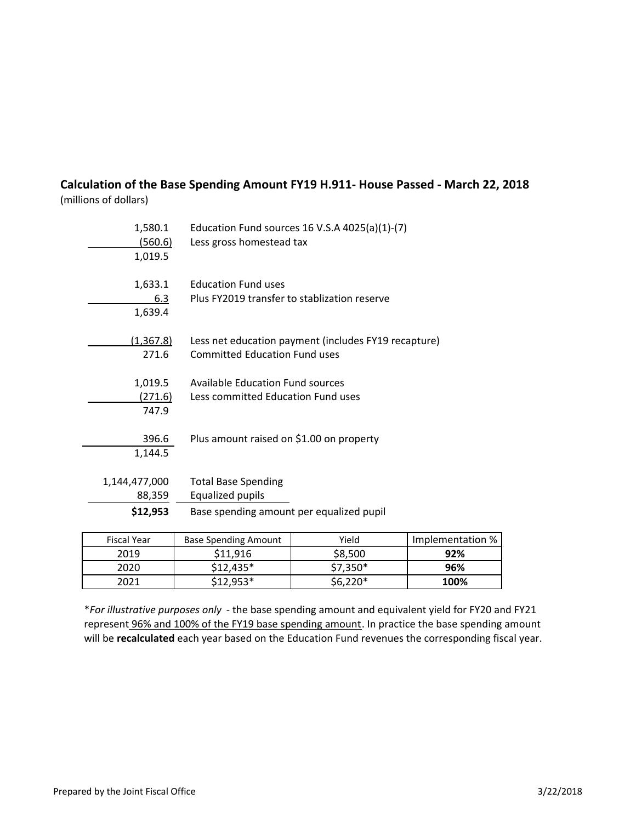#### **Calculation of the Base Spending Amount FY19 H.911- House Passed - March 22, 2018** (millions of dollars)

| 1,580.1<br>(560.6)<br>1,019.5       | Education Fund sources 16 V.S.A $4025(a)(1)-(7)$<br>Less gross homestead tax                      |
|-------------------------------------|---------------------------------------------------------------------------------------------------|
| 1,633.1<br>6.3<br>1,639.4           | <b>Education Fund uses</b><br>Plus FY2019 transfer to stablization reserve                        |
| (1, 367.8)<br>271.6                 | Less net education payment (includes FY19 recapture)<br><b>Committed Education Fund uses</b>      |
| 1,019.5<br><u>(271.6)</u><br>747.9  | Available Education Fund sources<br>Less committed Education Fund uses                            |
| 396.6<br>1,144.5                    | Plus amount raised on \$1.00 on property                                                          |
| 1,144,477,000<br>88,359<br>\$12,953 | <b>Total Base Spending</b><br><b>Equalized pupils</b><br>Base spending amount per equalized pupil |

| Fiscal Year | <b>Base Spending Amount</b> | Yield    | Implementation % |
|-------------|-----------------------------|----------|------------------|
| 2019        | \$11.916                    | \$8,500  | 92%              |
| 2020        | $$12,435*$                  | \$7,350* | 96%              |
| 2021        | \$12.953*                   | \$6,220* | 100%             |

\**For illustrative purposes only* - the base spending amount and equivalent yield for FY20 and FY21 represent 96% and 100% of the FY19 base spending amount. In practice the base spending amount will be **recalculated** each year based on the Education Fund revenues the corresponding fiscal year.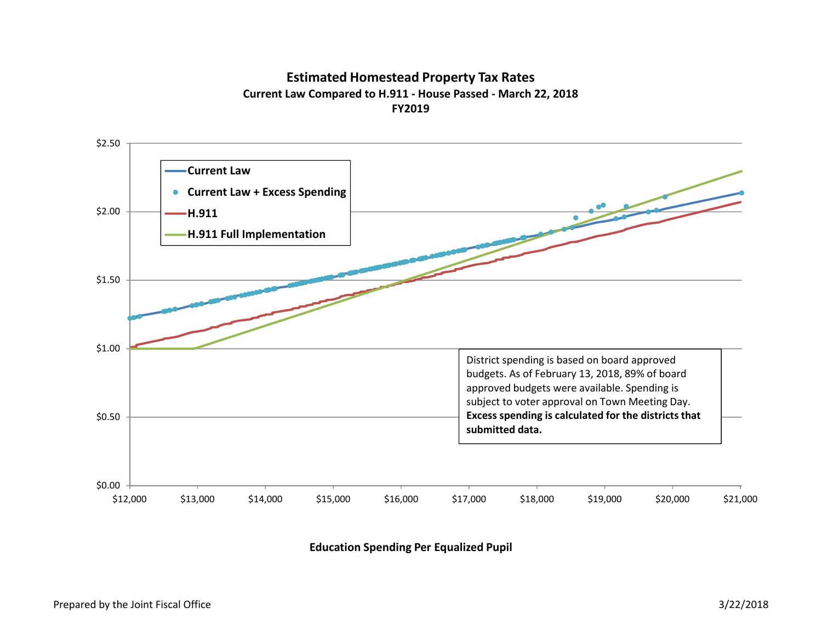#### **Estimated Homestead Property Tax Rates Current Law Compared to H.911 - House Passed - March 22, 2018FY2019**



**Education Spending Per Equalized Pupil**